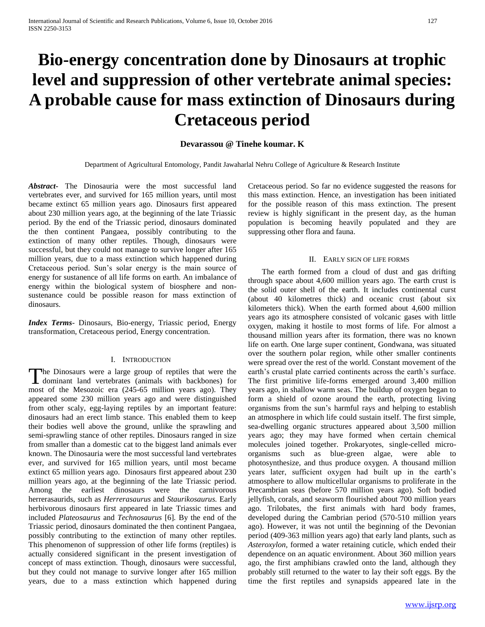# **Bio-energy concentration done by Dinosaurs at trophic level and suppression of other vertebrate animal species: A probable cause for mass extinction of Dinosaurs during Cretaceous period**

# **Devarassou @ Tinehe koumar. K**

Department of Agricultural Entomology, Pandit Jawaharlal Nehru College of Agriculture & Research Institute

*Abstract***-** The Dinosauria were the most successful land vertebrates ever, and survived for 165 million years, until most became extinct 65 million years ago. Dinosaurs first appeared about 230 million years ago, at the beginning of the late Triassic period. By the end of the Triassic period, dinosaurs dominated the then continent Pangaea, possibly contributing to the extinction of many other reptiles. Though, dinosaurs were successful, but they could not manage to survive longer after 165 million years, due to a mass extinction which happened during Cretaceous period. Sun's solar energy is the main source of energy for sustanence of all life forms on earth. An imbalance of energy within the biological system of biosphere and nonsustenance could be possible reason for mass extinction of dinosaurs.

*Index Terms*- Dinosaurs, Bio-energy, Triassic period, Energy transformation, Cretaceous period, Energy concentration.

#### I. INTRODUCTION

The Dinosaurs were a large group of reptiles that were the The Dinosaurs were a large group of reptiles that were the dominant land vertebrates (animals with backbones) for most of the Mesozoic era (245-65 million years ago). They appeared some 230 million years ago and were distinguished from other scaly, egg-laying reptiles by an important feature: dinosaurs had an erect limb stance. This enabled them to keep their bodies well above the ground, unlike the sprawling and semi-sprawling stance of other reptiles. Dinosaurs ranged in size from smaller than a domestic cat to the biggest land animals ever known. The Dinosauria were the most successful land vertebrates ever, and survived for 165 million years, until most became extinct 65 million years ago. Dinosaurs first appeared about 230 million years ago, at the beginning of the late Triassic period. Among the earliest dinosaurs were the carnivorous herrerasaurids, such as *Herrerasaurus* and *Staurikosaurus.* Early herbivorous dinosaurs first appeared in late Triassic times and included *Plateosaurus* and *Technosaurus* [6]*.* By the end of the Triassic period, dinosaurs dominated the then continent Pangaea, possibly contributing to the extinction of many other reptiles. This phenomenon of suppression of other life forms (reptiles) is actually considered significant in the present investigation of concept of mass extinction. Though, dinosaurs were successful, but they could not manage to survive longer after 165 million years, due to a mass extinction which happened during

Cretaceous period. So far no evidence suggested the reasons for this mass extinction. Hence, an investigation has been initiated for the possible reason of this mass extinction. The present review is highly significant in the present day, as the human population is becoming heavily populated and they are suppressing other flora and fauna.

#### II. EARLY SIGN OF LIFE FORMS

 The earth formed from a cloud of dust and gas drifting through space about 4,600 million years ago. The earth crust is the solid outer shell of the earth. It includes continental curst (about 40 kilometres thick) and oceanic crust (about six kilometers thick). When the earth formed about 4,600 million years ago its atmosphere consisted of volcanic gases with little oxygen, making it hostile to most forms of life. For almost a thousand million years after its formation, there was no known life on earth. One large super continent, Gondwana, was situated over the southern polar region, while other smaller continents were spread over the rest of the world. Constant movement of the earth's crustal plate carried continents across the earth's surface. The first primitive life-forms emerged around 3,400 million years ago, in shallow warm seas. The buildup of oxygen began to form a shield of ozone around the earth, protecting living organisms from the sun's harmful rays and helping to establish an atmosphere in which life could sustain itself. The first simple, sea-dwelling organic structures appeared about 3,500 million years ago; they may have formed when certain chemical molecules joined together. Prokaryotes, single-celled microorganisms such as blue-green algae, were able to photosynthesize, and thus produce oxygen. A thousand million years later, sufficient oxygen had built up in the earth's atmosphere to allow multicellular organisms to proliferate in the Precambrian seas (before 570 million years ago). Soft bodied jellyfish, corals, and seaworm flourished about 700 million years ago. Trilobates, the first animals with hard body frames, developed during the Cambrian period (570-510 million years ago). However, it was not until the beginning of the Devonian period (409-363 million years ago) that early land plants, such as *Asteroxylon,* formed a water retaining cuticle, which ended their dependence on an aquatic environment. About 360 million years ago, the first amphibians crawled onto the land, although they probably still returned to the water to lay their soft eggs. By the time the first reptiles and synapsids appeared late in the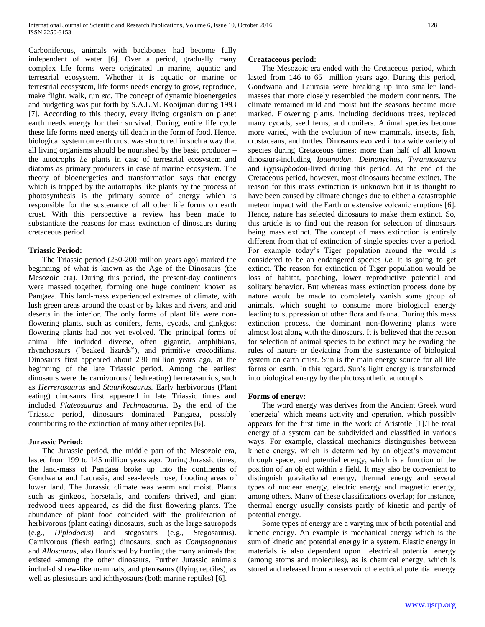Carboniferous, animals with backbones had become fully independent of water [6]. Over a period, gradually many complex life forms were originated in marine, aquatic and terrestrial ecosystem. Whether it is aquatic or marine or terrestrial ecosystem, life forms needs energy to grow, reproduce, make flight, walk, run *etc*. The concept of dynamic bioenergetics and budgeting was put forth by S.A.L.M. Kooijman during 1993 [7]. According to this theory, every living organism on planet earth needs energy for their survival. During, entire life cycle these life forms need energy till death in the form of food. Hence, biological system on earth crust was structured in such a way that all living organisms should be nourished by the basic producer – the autotrophs *i.e* plants in case of terrestrial ecosystem and diatoms as primary producers in case of marine ecosystem. The theory of bioenergetics and transformation says that energy which is trapped by the autotrophs like plants by the process of photosynthesis is the primary source of energy which is responsible for the sustenance of all other life forms on earth crust. With this perspective a review has been made to substantiate the reasons for mass extinction of dinosaurs during cretaceous period.

## **Triassic Period:**

 The Triassic period (250-200 million years ago) marked the beginning of what is known as the Age of the Dinosaurs (the Mesozoic era). During this period, the present-day continents were massed together, forming one huge continent known as Pangaea. This land-mass experienced extremes of climate, with lush green areas around the coast or by lakes and rivers, and arid deserts in the interior. The only forms of plant life were nonflowering plants, such as conifers, ferns, cycads, and ginkgos; flowering plants had not yet evolved. The principal forms of animal life included diverse, often gigantic, amphibians, rhynchosaurs ("beaked lizards"), and primitive crocodilians. Dinosaurs first appeared about 230 million years ago, at the beginning of the late Triassic period. Among the earliest dinosaurs were the carnivorous (flesh eating) herrerasaurids, such as *Herrerasaurus* and *Staurikosaurus.* Early herbivorous (Plant eating) dinosaurs first appeared in late Triassic times and included *Plateosaurus* and *Technosaurus.* By the end of the Triassic period, dinosaurs dominated Pangaea, possibly contributing to the extinction of many other reptiles [6].

## **Jurassic Period:**

 The Jurassic period, the middle part of the Mesozoic era, lasted from 199 to 145 million years ago. During Jurassic times, the land-mass of Pangaea broke up into the continents of Gondwana and Laurasia, and sea-levels rose, flooding areas of lower land. The Jurassic climate was warm and moist. Plants such as ginkgos, horsetails, and conifers thrived, and giant redwood trees appeared, as did the first flowering plants. The abundance of plant food coincided with the proliferation of herbivorous (plant eating) dinosaurs, such as the large sauropods (e.g., *Diplodocus*) and stegosaurs (e.g., Stegosaurus). Carnivorous (flesh eating) dinosaurs, such as *Compsognathus*  and *Allosaurus,* also flourished by hunting the many animals that existed -among the other dinosaurs. Further Jurassic animals included shrew-like mammals, and pterosaurs (flying reptiles), as well as plesiosaurs and ichthyosaurs (both marine reptiles) [6].

#### **Creataceous period:**

 The Mesozoic era ended with the Cretaceous period, which lasted from 146 to 65 million years ago. During this period, Gondwana and Laurasia were breaking up into smaller landmasses that more closely resembled the modern continents. The climate remained mild and moist but the seasons became more marked. Flowering plants, including deciduous trees, replaced many cycads, seed ferns, and conifers. Animal species become more varied, with the evolution of new mammals, insects, fish, crustaceans, and turtles. Dinosaurs evolved into a wide variety of species during Cretaceous times; more than half of all known dinosaurs-including *Iguanodon, Deinonychus, Tyrannosaurus*  and *Hypsilphodon*-lived during this period. At the end of the Cretaceous period, however, most dinosaurs became extinct. The reason for this mass extinction is unknown but it is thought to have been caused by climate changes due to either a catastrophic meteor impact with the Earth or extensive volcanic eruptions [6]. Hence, nature has selected dinosaurs to make them extinct. So, this article is to find out the reason for selection of dinosaurs being mass extinct. The concept of mass extinction is entirely different from that of extinction of single species over a period. For example today's Tiger population around the world is considered to be an endangered species *i.e.* it is going to get extinct. The reason for extinction of Tiger population would be loss of habitat, poaching, lower reproductive potential and solitary behavior. But whereas mass extinction process done by nature would be made to completely vanish some group of animals, which sought to consume more biological energy leading to suppression of other flora and fauna. During this mass extinction process, the dominant non-flowering plants were almost lost along with the dinosaurs. It is believed that the reason for selection of animal species to be extinct may be evading the rules of nature or deviating from the sustenance of biological system on earth crust. Sun is the main energy source for all life forms on earth. In this regard, Sun's light energy is transformed into biological energy by the photosynthetic autotrophs.

#### **Forms of energy:**

 The word energy was derives from the Ancient Greek word 'energeia' which means activity and operation, which possibly appears for the first time in the work of Aristotle [1].The total energy of a system can be subdivided and classified in various ways. For example, classical mechanics distinguishes between kinetic energy, which is determined by an object's movement through space, and potential energy, which is a function of the position of an object within a field. It may also be convenient to distinguish gravitational energy, thermal energy and several types of nuclear energy, electric energy and magnetic energy, among others. Many of these classifications overlap; for instance, thermal energy usually consists partly of kinetic and partly of potential energy.

 Some types of energy are a varying mix of both potential and kinetic energy. An example is mechanical energy which is the sum of kinetic and potential energy in a system. Elastic energy in materials is also dependent upon electrical potential energy (among atoms and molecules), as is chemical energy, which is stored and released from a reservoir of electrical potential energy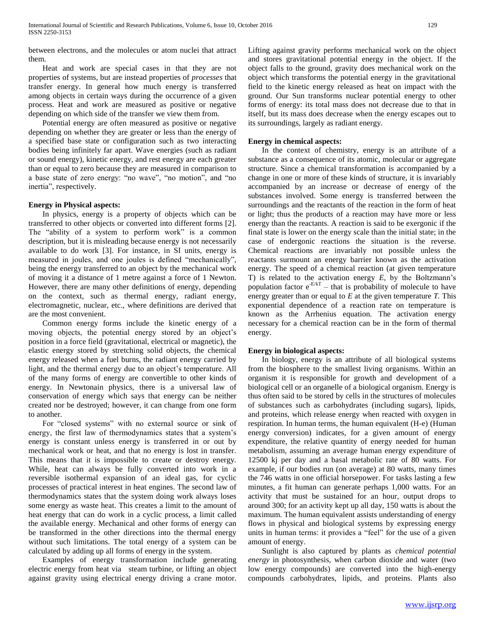between electrons, and the molecules or atom nuclei that attract them.

 Heat and work are special cases in that they are not properties of systems, but are instead properties of *processes* that transfer energy. In general how much energy is transferred among objects in certain ways during the occurrence of a given process. Heat and work are measured as positive or negative depending on which side of the transfer we view them from.

 Potential energy are often measured as positive or negative depending on whether they are greater or less than the energy of a specified base state or configuration such as two interacting bodies being infinitely far apart. Wave energies (such as radiant or sound energy), kinetic energy, and rest energy are each greater than or equal to zero because they are measured in comparison to a base state of zero energy: "no wave", "no motion", and "no inertia", respectively.

## **Energy in Physical aspects:**

 In physics, energy is a property of objects which can be transferred to other objects or converted into different forms [2]. The "ability of a system to perform work" is a common description, but it is misleading because energy is not necessarily available to do work [3]. For instance, in SI units, energy is measured in joules, and one joules is defined "mechanically", being the energy transferred to an object by the mechanical work of moving it a distance of 1 metre against a force of 1 Newton. However, there are many other definitions of energy, depending on the context, such as thermal energy, radiant energy, electromagnetic, nuclear, etc., where definitions are derived that are the most convenient.

 Common energy forms include the kinetic energy of a moving objects, the potential energy stored by an object's position in a force field (gravitational, electrical or magnetic), the elastic energy stored by stretching solid objects, the chemical energy released when a fuel burns, the radiant energy carried by light, and the thermal energy due to an object's temperature. All of the many forms of energy are convertible to other kinds of energy. In Newtonain physics, there is a universal law of conservation of energy which says that energy can be neither created nor be destroyed; however, it can change from one form to another.

 For "closed systems" with no external source or sink of energy, the first law of thermodynamics states that a system's energy is constant unless energy is transferred in or out by mechanical work or heat, and that no energy is lost in transfer. This means that it is impossible to create or destroy energy. While, heat can always be fully converted into work in a reversible isothermal expansion of an ideal gas, for cyclic processes of practical interest in heat engines. The second law of thermodynamics states that the system doing work always loses some energy as waste heat. This creates a limit to the amount of heat energy that can do work in a cyclic process, a limit called the available energy. Mechanical and other forms of energy can be transformed in the other directions into the thermal energy without such limitations. The total energy of a system can be calculated by adding up all forms of energy in the system.

 Examples of energy transformation include generating electric energy from heat via steam turbine, or lifting an object against gravity using electrical energy driving a crane motor.

Lifting against gravity performs mechanical work on the object and stores gravitational potential energy in the object. If the object falls to the ground, gravity does mechanical work on the object which transforms the potential energy in the gravitational field to the kinetic energy released as heat on impact with the ground. Our Sun transforms nuclear potential energy to other forms of energy: its total mass does not decrease due to that in itself, but its mass does decrease when the energy escapes out to its surroundings, largely as radiant energy.

## **Energy in chemical aspects:**

 In the context of chemistry, energy is an attribute of a substance as a consequence of its atomic, molecular or aggregate structure. Since a chemical transformation is accompanied by a change in one or more of these kinds of structure, it is invariably accompanied by an increase or decrease of energy of the substances involved. Some energy is transferred between the surroundings and the reactants of the reaction in the form of heat or light; thus the products of a reaction may have more or less energy than the reactants. A reaction is said to be exergonic if the final state is lower on the energy scale than the initial state; in the case of endergonic reactions the situation is the reverse. Chemical reactions are invariably not possible unless the reactants surmount an energy barrier known as the activation energy. The speed of a chemical reaction (at given temperature T) is related to the activation energy *E,* by the Boltzmann's population factor  $e^{-E/kT}$  – that is probability of molecule to have energy greater than or equal to *E* at the given temperature *T.* This exponential dependence of a reaction rate on temperature is known as the Arrhenius equation. The activation energy necessary for a chemical reaction can be in the form of thermal energy.

## **Energy in biological aspects:**

 In biology, energy is an attribute of all biological systems from the biosphere to the smallest living organisms. Within an organism it is responsible for growth and development of a biological cell or an organelle of a biological organism. Energy is thus often said to be stored by cells in the structures of molecules of substances such as carbohydrates (including sugars), lipids, and proteins, which release energy when reacted with oxygen in respiration. In human terms, the human equivalent (H-e) (Human energy conversion) indicates, for a given amount of energy expenditure, the relative quantity of energy needed for human metabolism, assuming an average human energy expenditure of 12500 kj per day and a basal metabolic rate of 80 watts. For example, if our bodies run (on average) at 80 watts, many times the 746 watts in one official horsepower. For tasks lasting a few minutes, a fit human can generate perhaps 1,000 watts. For an activity that must be sustained for an hour, output drops to around 300; for an activity kept up all day, 150 watts is about the maximum. The human equivalent assists understanding of energy flows in physical and biological systems by expressing energy units in human terms: it provides a "feel" for the use of a given amount of energy.

 Sunlight is also captured by plants as *chemical potential energy* in photosynthesis, when carbon dioxide and water (two low energy compounds) are converted into the high-energy compounds carbohydrates, lipids, and proteins. Plants also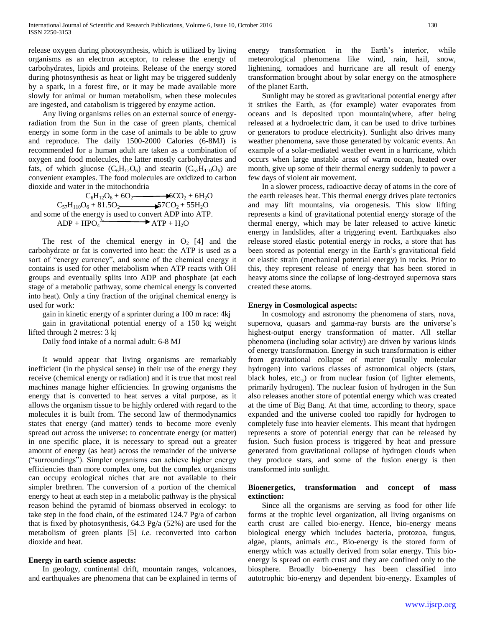release oxygen during photosynthesis, which is utilized by living organisms as an electron acceptor, to release the energy of carbohydrates, lipids and proteins. Release of the energy stored during photosynthesis as heat or light may be triggered suddenly by a spark, in a forest fire, or it may be made available more slowly for animal or human metabolism, when these molecules are ingested, and catabolism is triggered by enzyme action.

 Any living organisms relies on an external source of energyradiation from the Sun in the case of green plants, chemical energy in some form in the case of animals to be able to grow and reproduce. The daily 1500-2000 Calories (6-8MJ) is recommended for a human adult are taken as a combination of oxygen and food molecules, the latter mostly carbohydrates and fats, of which glucose  $(C_6H_{12}O_6)$  and stearin  $(C_{57}H_{110}O_6)$  are convenient examples. The food molecules are oxidized to carbon dioxide and water in the mitochondria

 $C_6H_{12}O_6 + 6O_2$  6CO<sub>2</sub> + 6H<sub>2</sub>O  $C_{57}H_{110}O_6 + 81.5O_2$  57CO<sub>2</sub> + 55H<sub>2</sub>O and some of the energy is used to convert ADP into ATP.  $ADP + HPO<sub>4</sub><sup>2</sup>$  $\longrightarrow$  ATP + H<sub>2</sub>O

The rest of the chemical energy in  $O_2$  [4] and the carbohydrate or fat is converted into heat: the ATP is used as a sort of "energy currency", and some of the chemical energy it contains is used for other metabolism when ATP reacts with OH groups and eventually splits into ADP and phosphate (at each stage of a metabolic pathway, some chemical energy is converted into heat). Only a tiny fraction of the original chemical energy is used for work:

gain in kinetic energy of a sprinter during a 100 m race: 4kj

 gain in gravitational potential energy of a 150 kg weight lifted through 2 metres: 3 kj

Daily food intake of a normal adult: 6-8 MJ

 It would appear that living organisms are remarkably inefficient (in the physical sense) in their use of the energy they receive (chemical energy or radiation) and it is true that most real machines manage higher efficiencies. In growing organisms the energy that is converted to heat serves a vital purpose, as it allows the organism tissue to be highly ordered with regard to the molecules it is built from. The second law of thermodynamics states that energy (and matter) tends to become more evenly spread out across the universe: to concentrate energy (or matter) in one specific place, it is necessary to spread out a greater amount of energy (as heat) across the remainder of the universe ("surroundings"). Simpler organisms can achieve higher energy efficiencies than more complex one, but the complex organisms can occupy ecological niches that are not available to their simpler brethren. The conversion of a portion of the chemical energy to heat at each step in a metabolic pathway is the physical reason behind the pyramid of biomass observed in ecology: to take step in the food chain, of the estimated 124.7 Pg/a of carbon that is fixed by photosynthesis, 64.3 Pg/a (52%) are used for the metabolism of green plants [5] *i.e.* reconverted into carbon dioxide and heat.

## **Energy in earth science aspects:**

 In geology, continental drift, mountain ranges, volcanoes, and earthquakes are phenomena that can be explained in terms of energy transformation in the Earth's interior, while meteorological phenomena like wind, rain, hail, snow, lightening, tornadoes and hurricane are all result of energy transformation brought about by solar energy on the atmosphere of the planet Earth.

 Sunlight may be stored as gravitational potential energy after it strikes the Earth, as (for example) water evaporates from oceans and is deposited upon mountain(where, after being released at a hydroelectric dam, it can be used to drive turbines or generators to produce electricity). Sunlight also drives many weather phenomena, save those generated by volcanic events. An example of a solar-mediated weather event in a hurricane, which occurs when large unstable areas of warm ocean, heated over month, give up some of their thermal energy suddenly to power a few days of violent air movement.

 In a slower process, radioactive decay of atoms in the core of the earth releases heat. This thermal energy drives plate tectonics and may lift mountains, via orogenesis. This slow lifting represents a kind of gravitational potential energy storage of the thermal energy, which may be later released to active kinetic energy in landslides, after a triggering event. Earthquakes also release stored elastic potential energy in rocks, a store that has been stored as potential energy in the Earth's gravitational field or elastic strain (mechanical potential energy) in rocks. Prior to this, they represent release of energy that has been stored in heavy atoms since the collapse of long-destroyed supernova stars created these atoms.

## **Energy in Cosmological aspects:**

 In cosmology and astronomy the phenomena of stars, nova, supernova, quasars and gamma-ray bursts are the universe's highest-output energy transformation of matter. All stellar phenomena (including solar activity) are driven by various kinds of energy transformation. Energy in such transformation is either from gravitational collapse of matter (usually molecular hydrogen) into various classes of astronomical objects (stars, black holes, etc.,) or from nuclear fusion (of lighter elements, primarily hydrogen). The nuclear fusion of hydrogen in the Sun also releases another store of potential energy which was created at the time of Big Bang. At that time, according to theory, space expanded and the universe cooled too rapidly for hydrogen to completely fuse into heavier elements. This meant that hydrogen represents a store of potential energy that can be released by fusion. Such fusion process is triggered by heat and pressure generated from gravitational collapse of hydrogen clouds when they produce stars, and some of the fusion energy is then transformed into sunlight.

## **Bioenergetics, transformation and concept of mass extinction:**

 Since all the organisms are serving as food for other life forms at the trophic level organization, all living organisms on earth crust are called bio-energy. Hence, bio-energy means biological energy which includes bacteria, protozoa, fungus, algae, plants, animals *etc.,* Bio-energy is the stored form of energy which was actually derived from solar energy. This bioenergy is spread on earth crust and they are confined only to the biosphere. Broadly bio-energy has been classified into autotrophic bio-energy and dependent bio-energy. Examples of